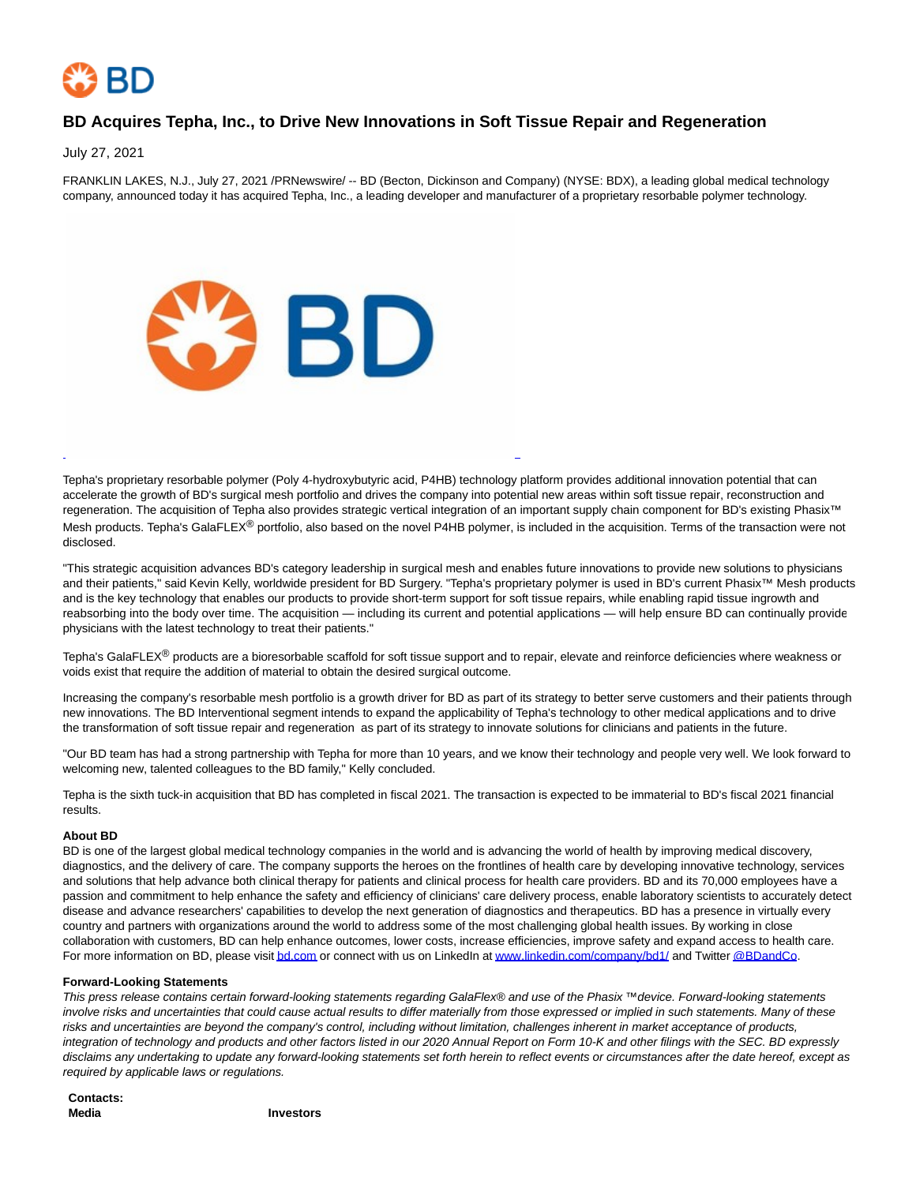

## **BD Acquires Tepha, Inc., to Drive New Innovations in Soft Tissue Repair and Regeneration**

July 27, 2021

FRANKLIN LAKES, N.J., July 27, 2021 /PRNewswire/ -- BD (Becton, Dickinson and Company) (NYSE: BDX), a leading global medical technology company, announced today it has acquired Tepha, Inc., a leading developer and manufacturer of a proprietary resorbable polymer technology.



Tepha's proprietary resorbable polymer (Poly 4-hydroxybutyric acid, P4HB) technology platform provides additional innovation potential that can accelerate the growth of BD's surgical mesh portfolio and drives the company into potential new areas within soft tissue repair, reconstruction and regeneration. The acquisition of Tepha also provides strategic vertical integration of an important supply chain component for BD's existing Phasix™ Mesh products. Tepha's GalaFLEX<sup>®</sup> portfolio, also based on the novel P4HB polymer, is included in the acquisition. Terms of the transaction were not disclosed.

L

"This strategic acquisition advances BD's category leadership in surgical mesh and enables future innovations to provide new solutions to physicians and their patients," said Kevin Kelly, worldwide president for BD Surgery. "Tepha's proprietary polymer is used in BD's current Phasix™ Mesh products and is the key technology that enables our products to provide short-term support for soft tissue repairs, while enabling rapid tissue ingrowth and reabsorbing into the body over time. The acquisition — including its current and potential applications — will help ensure BD can continually provide physicians with the latest technology to treat their patients."

Tepha's GalaFLEX® products are a bioresorbable scaffold for soft tissue support and to repair, elevate and reinforce deficiencies where weakness or voids exist that require the addition of material to obtain the desired surgical outcome.

Increasing the company's resorbable mesh portfolio is a growth driver for BD as part of its strategy to better serve customers and their patients through new innovations. The BD Interventional segment intends to expand the applicability of Tepha's technology to other medical applications and to drive the transformation of soft tissue repair and regeneration as part of its strategy to innovate solutions for clinicians and patients in the future.

"Our BD team has had a strong partnership with Tepha for more than 10 years, and we know their technology and people very well. We look forward to welcoming new, talented colleagues to the BD family," Kelly concluded.

Tepha is the sixth tuck-in acquisition that BD has completed in fiscal 2021. The transaction is expected to be immaterial to BD's fiscal 2021 financial results.

## **About BD**

BD is one of the largest global medical technology companies in the world and is advancing the world of health by improving medical discovery, diagnostics, and the delivery of care. The company supports the heroes on the frontlines of health care by developing innovative technology, services and solutions that help advance both clinical therapy for patients and clinical process for health care providers. BD and its 70,000 employees have a passion and commitment to help enhance the safety and efficiency of clinicians' care delivery process, enable laboratory scientists to accurately detect disease and advance researchers' capabilities to develop the next generation of diagnostics and therapeutics. BD has a presence in virtually every country and partners with organizations around the world to address some of the most challenging global health issues. By working in close collaboration with customers, BD can help enhance outcomes, lower costs, increase efficiencies, improve safety and expand access to health care. For more information on BD, please visi[t bd.com o](https://c212.net/c/link/?t=0&l=en&o=3239955-1&h=3934462922&u=https%3A%2F%2Fc212.net%2Fc%2Flink%2F%3Ft%3D0%26l%3Den%26o%3D3067202-1%26h%3D3145043479%26u%3Dhttp%253A%252F%252Fwww.bd.com%252F%26a%3Dbd.com&a=bd.com)r connect with us on LinkedIn a[t www.linkedin.com/company/bd1/ a](https://c212.net/c/link/?t=0&l=en&o=3239955-1&h=2227708470&u=https%3A%2F%2Fc212.net%2Fc%2Flink%2F%3Ft%3D0%26l%3Den%26o%3D3067202-1%26h%3D3653656251%26u%3Dhttp%253A%252F%252Fwww.linkedin.com%252Fcompany%252Fbd1%252F%26a%3Dwww.linkedin.com%252Fcompany%252Fbd1%252F&a=www.linkedin.com%2Fcompany%2Fbd1%2F)nd Twitte[r @BDandCo.](https://c212.net/c/link/?t=0&l=en&o=3239955-1&h=788190774&u=https%3A%2F%2Fc212.net%2Fc%2Flink%2F%3Ft%3D0%26l%3Den%26o%3D3067202-1%26h%3D1430939937%26u%3Dhttps%253A%252F%252Ftwitter.com%252Fbdandco%26a%3D%2540BDandCo&a=%40BDandCo)

## **Forward-Looking Statements**

This press release contains certain forward-looking statements regarding GalaFlex® and use of the Phasix ™ device. Forward-looking statements involve risks and uncertainties that could cause actual results to differ materially from those expressed or implied in such statements. Many of these risks and uncertainties are beyond the company's control, including without limitation, challenges inherent in market acceptance of products, integration of technology and products and other factors listed in our 2020 Annual Report on Form 10-K and other filings with the SEC. BD expressly disclaims any undertaking to update any forward-looking statements set forth herein to reflect events or circumstances after the date hereof, except as required by applicable laws or regulations.

**Contacts: Media Investors**